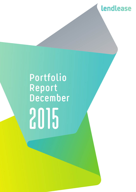

# **Portfolio Report December** 2015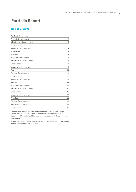## Portfolio Report

#### **Table of Contents**

| <b>Key Portfolio Metrics</b> |                |
|------------------------------|----------------|
| <b>Property Development</b>  | 1              |
| Infrastructure Development   | $\overline{a}$ |
| Construction                 | 3              |
| <b>Investment Management</b> | 4              |
| <b>Group Assets</b>          | 4              |
| Australia                    | 5              |
| <b>Property Development</b>  | 5              |
| Infrastructure Development   | $\overline{7}$ |
| Construction                 | 8              |
| <b>Investment Management</b> | 11             |
| Asia                         | 13             |
| <b>Property Development</b>  | 13             |
| Construction                 | 13             |
| Investment Management        | 13             |
| <b>Europe</b>                | 15             |
| <b>Property Development</b>  | 15             |
| Infrastructure Development   | 15             |
| Construction                 | 16             |
| <b>Investment Management</b> | 17             |
| <b>Americas</b>              | 18             |
| <b>Property Development</b>  | 18             |
| Infrastructure Development   | 19             |
| Construction                 | 20             |

The Portfolio Report is based on the Lendlease Group (the Group) Consolidated Financial Statements for the six months ended 31 December 2015 and should be read in conjunction with those financial statements.

All currency amounts in the Portfolio Report are expressed in Australian dollars unless otherwise specified.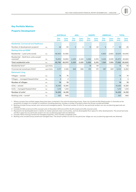#### **Key Portfolio Metrics**

#### **Property Development**

|                                                      |          | <b>AUSTRALIA</b>   |              | <b>ASIA</b>        |                | <b>EUROPE</b>      |              |                    | <b>AMERICAS</b> |                    | <b>TOTAL</b> |
|------------------------------------------------------|----------|--------------------|--------------|--------------------|----------------|--------------------|--------------|--------------------|-----------------|--------------------|--------------|
|                                                      |          | <b>Dec</b><br>2015 | June<br>2015 | <b>Dec</b><br>2015 | June<br>2015   | <b>Dec</b><br>2015 | June<br>2015 | <b>Dec</b><br>2015 | June<br>2015    | <b>Dec</b><br>2015 | June<br>2015 |
| <b>Residential, Commercial and Healthcare</b>        |          |                    |              |                    |                |                    |              |                    |                 |                    |              |
| Number of development projects <sup>1</sup>          | no.      | 28                 | 30           | $\overline{c}$     | $\overline{c}$ | 13                 | 20           | 6                  | $\overline{7}$  | 49                 | 59           |
| Backlog Units and SQM <sup>2</sup>                   |          |                    |              |                    |                |                    |              |                    |                 |                    |              |
| Residential - Land units zoned                       | no.      | 48,950             | 51,080       |                    |                |                    |              | 3,860              | 3,860           | 52,810             | 54,940       |
| Residential - Built-form units zoned/<br>unzoned $3$ | no.      | 13,830             | 14,890       | 2,230              | 2,225          | 5,285              | 5,315        | 3,525              | 3,530           | 24,870             | 25,960       |
| <b>Total residential units</b>                       | no.      | 62,780             | 65,970       | 2,230              | 2,225          | 5,285              | 5,315        | 7,385              | 7,390           | 77,680             | 80,900       |
| Residential land <sup>4</sup>                        | sqm/000s |                    |              |                    |                | 16                 | 44           |                    |                 | 16                 | 44           |
| Commercial zoned sqm/000s <sup>4</sup>               | sqm/000s | 5,117              | 5,182        | 369                | 368            | 231                | 311          | 387                | 423             | 6,104              | 6,284        |
| <b>Retirement Living</b>                             |          |                    |              |                    |                |                    |              |                    |                 |                    |              |
| Villages - owned                                     | no.      | 74                 | 74           |                    |                |                    |              |                    |                 | 74                 | 74           |
| Villages - managed/leased/other                      | no.      | 4                  | 4            |                    |                |                    |              |                    |                 | $\overline{4}$     | 4            |
| <b>Number of villages</b>                            | no.      | 78                 | 78           |                    |                |                    |              |                    |                 | 78                 | 78           |
| Units - owned                                        | no.      | 13,083             | 12,981       |                    |                |                    |              |                    |                 | 13,083             | 12,981       |
| Units - managed/leased/other                         | no.      | 1,212              | 1,212        |                    |                |                    |              |                    |                 | 1,212              | 1,212        |
| Number of units <sup>5</sup>                         | no.      | 14,295             | 14,193       |                    |                |                    |              |                    |                 | 14,295             | 14,193       |
| Backlog units - zoned <sup>6</sup>                   | no.      | 567                | 666          |                    |                |                    |              |                    |                 | 567                | 666          |

1 Where a project has multiple stages these have been combined in line with the planning process. Does not include the Mt Gilead project in Australia as the acquisition is subject to a number of conditions including planning. Includes a number of projects where the Group is preferred bidder.

2 Backlog includes Group owned, joint venture and managed projects. The actual number of units for any particular project can vary as planning approvals are obtained.

3 Includes 20,955 zoned and 3,915 unzoned units at December 2015 (June 2015: 22,041 zoned and 3,919 unzoned units).

4 Represents net developable land in relation to master-planned urban communities, and net developable floor space for other developments. The actual land area and floor space for any particular project can vary as planning approvals are obtained.

5 Includes 100% of Group owned and managed properties. Only includes completed units.

6 Backlog units include Group owned and managed sites. The actual number of units for any particular village can vary as planning approvals are obtained.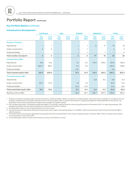#### **Key Portfolio Metrics** continued

#### **Infrastructure Development**

|                                    | <b>AUSTRALIA</b>   |              |                    | <b>EUROPE</b><br><b>ASIA</b> |                         | <b>AMERICAS</b> |                    | <b>TOTAL</b> |                    |                |
|------------------------------------|--------------------|--------------|--------------------|------------------------------|-------------------------|-----------------|--------------------|--------------|--------------------|----------------|
|                                    | <b>Dec</b><br>2015 | June<br>2015 | <b>Dec</b><br>2015 | June<br>2015                 | <b>Dec</b><br>2015      | June<br>2015    | <b>Dec</b><br>2015 | June<br>2015 | <b>Dec</b><br>2015 | June<br>2015   |
| Number of Projects <sup>1</sup>    |                    |              |                    |                              |                         |                 |                    |              |                    |                |
| Operational                        | 1                  | $\mathbf{1}$ |                    |                              | $\overline{\mathbf{1}}$ | $\mathbf{1}$    | 17                 | 17           | 19                 | 19             |
| Under construction                 | $\overline{4}$     | 4            |                    |                              | 1                       | 1               |                    |              | 5                  | 5              |
| Preferred bidder                   |                    |              |                    |                              | $\overline{\mathbf{1}}$ | 1               |                    | 1            | $\mathbf{1}$       | $\overline{2}$ |
| <b>Total number of projects</b>    | 5                  | 5            |                    |                              | $\overline{3}$          | 3               | 17 <sup>2</sup>    | 18           | 25                 | 26             |
| Invested Equity A\$m <sup>3</sup>  |                    |              |                    |                              |                         |                 |                    |              |                    |                |
| Operational                        | 15.2               | 15.2         |                    |                              | 6.1                     | 6.1             | 112.5              | 109.2        | 133.8              | 130.5          |
| Under construction                 | 222.04             | 185.7        |                    |                              | 4.2                     | 4.2             |                    |              | 226.2              | 189.9          |
| Preferred bidder                   |                    |              |                    |                              | 2.0 <sup>5</sup>        |                 |                    |              | 2.0                |                |
| Total invested equity A\$m         | 237.2              | 200.9        |                    |                              | 12.3                    | 10.3            | 112.5              | 109.2        | 362.0              | 320.4          |
| Committed Equity A\$m <sup>6</sup> |                    |              |                    |                              |                         |                 |                    |              |                    |                |
| Operational                        |                    |              |                    |                              |                         |                 | 6.8                | 6.5          | 6.8                | 6.5            |
| Under construction                 | 33.7 <sup>4</sup>  | 70.0         |                    |                              | 1.6                     | 1.6             |                    |              | 35.3               | 71.6           |
| Preferred bidder                   |                    |              |                    |                              | 10.5                    | 12.5            |                    |              | 10.5               | 12.5           |
| Total committed equity A\$m        | 33.7               | 70.0         |                    |                              | 12.1                    | 14.1            | 6.8                | 6.5          | 52.6               | 90.6           |
| Backlog revenue A\$m               |                    |              |                    |                              | 81.8                    | 84.7            | 481.7              | 467.3        | 563.5              | 552.0          |

1 Number of projects includes projects where the Group is preferred bidder. Where a project has multiple phases, these have been combined on completion for the purposes of presentation. Excludes origination fee for service projects with no equity commitment or ongoing management responsibilities for the Group. The Australian Infrastructure Development projects are managed by Capella Capital.

2 PAL Lee Benning project, disclosed as preferred bidder at June 2015, reached financial close during the period to December 2015. For reporting purposes, PAL Lee Benning project has now been included as an extension of the PAL C project.

3 Invested equity refers to the contributed equity for each project.

4 During the period to December 2015 equity investments were made in the Darling Harbour Live (A\$25.1 million) and Sunshine Coast University Hospital (A\$11.2 million) projects.<br>5 During the period

5 During the period a Concession Agreement was signed with the local authorities for the Treviso Hospital project in Europe. A\$2.0 million of equity was invested on incorporation of the Treviso SPV.

6 Committed equity refers to equity the Group has a future commitment to invest.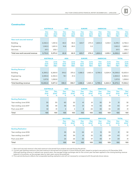#### **Construction**

|                                       | <b>AUSTRALIA</b>              |                         |                      | <b>ASIA</b><br><b>EUROPE</b> |                            | <b>AMERICAS</b>              |                               |                               |                               | <b>TOTAL</b>                  |  |
|---------------------------------------|-------------------------------|-------------------------|----------------------|------------------------------|----------------------------|------------------------------|-------------------------------|-------------------------------|-------------------------------|-------------------------------|--|
|                                       | <b>Dec</b><br>2015<br>$A$ \$m | Dec.<br>2014<br>$A$ \$m | Dec.<br>2015<br>A\$m | Dec<br>2014<br>$A$ \$m       | <b>Dec</b><br>2015<br>A\$m | <b>Dec</b><br>2014<br>$A\$ m | <b>Dec</b><br>2015<br>$A$ \$m | <b>Dec</b><br>2014<br>$A$ \$m | <b>Dec</b><br>2015<br>$A$ \$m | <b>Dec</b><br>2014<br>$A$ \$m |  |
| New work secured revenue <sup>1</sup> |                               |                         |                      |                              |                            |                              |                               |                               |                               |                               |  |
| <b>Building</b>                       | 2.052.4                       | 1.391.6                 | 48.0                 | 38.4                         | 623.7                      | 273.3                        | 1,654.0                       | 1,033.1                       | 4,378.1                       | 2,736.4                       |  |
| Engineering                           | 1,145.5                       | 1,651.5                 | 14.8                 | 28.5                         |                            | 3.2                          |                               |                               | 1,160.3                       | 1,683.2                       |  |
| <b>Services</b>                       | 517.1                         | 232.1                   |                      |                              |                            |                              |                               |                               | 517.1                         | 232.1                         |  |
| Total new work secured revenue        | 3,715.0                       | 3.275.2                 | 62.8                 | 66.9                         | 623.7                      | 276.5                        | 1,654.0                       | 1,033.1                       | 6.055.5                       | 4,651.7                       |  |

|                              | <b>AUSTRALIA</b>        |                         |                        | <b>ASIA</b><br><b>EUROPE</b> |                         | <b>AMERICAS</b>         |                               | <b>TOTAL</b>            |                         |                         |
|------------------------------|-------------------------|-------------------------|------------------------|------------------------------|-------------------------|-------------------------|-------------------------------|-------------------------|-------------------------|-------------------------|
|                              | Dec.<br>2015<br>$A$ \$m | June<br>2015<br>$A$ \$m | Dec<br>2015<br>$A$ \$m | June<br>2015<br>$A$ \$m      | Dec:<br>2015<br>$A$ \$m | June<br>2015<br>$A$ \$m | <b>Dec</b><br>2015<br>$A$ \$m | June<br>2015<br>$A$ \$m | Dec.<br>2015<br>$A$ \$m | June<br>2015<br>$A$ \$m |
| Backlog Revenue <sup>2</sup> |                         |                         |                        |                              |                         |                         |                               |                         |                         |                         |
| <b>Building</b>              | 6,393.2                 | 6.269.9                 | 319.2                  | 375.2                        | 1.588.2                 | 1.463.4                 | 5,799.2                       | 5,524.9                 | 14,099.8                | 13,633.4                |
| Engineering                  | 2.935.8                 | 2.342.5                 | 19.1                   | 21.5                         |                         |                         |                               |                         | 2.954.9                 | 2,364.0                 |
| <b>Services</b>              | 1.517.8                 | 1.258.8                 |                        |                              |                         |                         |                               |                         | 1.517.8                 | 1,258.8                 |
| Total backlog revenue        | 10,846.8                | 9.871.2                 | 338.3                  | 396.7                        | 1,588.2                 | 1,463.4                 | 5,799.2                       | 5,524.9                 | 18,572.5                | 17,256.2                |

|                            | <b>AUSTRALIA</b>        |                             | <b>ASIA</b>      |                             | <b>EUROPE</b>     |                       | <b>AMERICAS</b>         |                             | <b>TOTAL</b>      |                             |
|----------------------------|-------------------------|-----------------------------|------------------|-----------------------------|-------------------|-----------------------|-------------------------|-----------------------------|-------------------|-----------------------------|
|                            | <b>Dec</b><br>2015<br>% | <b>Dec</b><br>$2014^3$<br>% | Dec<br>2015<br>% | <b>Dec</b><br>$2014^3$<br>% | Dec:<br>2015<br>% | Dec.<br>$2014^3$<br>% | <b>Dec</b><br>2015<br>% | <b>Dec</b><br>$2014^3$<br>% | Dec.<br>2015<br>% | <b>Dec</b><br>$2014^3$<br>% |
| <b>Backlog Realisation</b> |                         |                             |                  |                             |                   |                       |                         |                             |                   |                             |
| Year ending June 2016      | 30                      | 30                          | 60               | 52                          | 41                | 61                    | 30                      | 31                          | 31                | 32                          |
| Year ending June 2017      | 38                      | 39                          | 36               | 44                          | 51                | 19                    | 40                      | 35                          | 40                | 37                          |
| Post June 2017             | 32                      | 31                          | 4                | 4                           | 8                 | 20                    | 30                      | 34                          | 29                | 31                          |
| Total                      | 100                     | 100                         | 100              | 100                         | 100               | 100                   | 100                     | 100                         | 100               | 100                         |

|                            | <b>BUILDING</b>         |                             | <b>ENGINEERING</b> |                             | <b>SERVICES</b>         |                             | <b>TOTAL</b>      |                             |
|----------------------------|-------------------------|-----------------------------|--------------------|-----------------------------|-------------------------|-----------------------------|-------------------|-----------------------------|
|                            | <b>Dec</b><br>2015<br>% | <b>Dec</b><br>$2014^3$<br>% | Dec.<br>2015<br>%  | <b>Dec</b><br>$2014^3$<br>% | <b>Dec</b><br>2015<br>% | <b>Dec</b><br>$2014^3$<br>% | Dec.<br>2015<br>% | <b>Dec</b><br>$2014^3$<br>% |
| <b>Backlog Realisation</b> |                         |                             |                    |                             |                         |                             |                   |                             |
| Year ending June 2016      | 35                      | 35                          | 24                 | 21                          | 19                      | 30                          | 31                | 32                          |
| Year ending June 2017      | 40                      | 39                          | 41                 | 32                          | 32                      | 29                          | 40                | 37                          |
| Post June 2017             | 25                      | 26                          | 35                 | 47                          | 49                      | 41                          | 29                | 31                          |
| Total                      | 100                     | 100                         | 100                | 100                         | 100                     | 100                         | 100               | 100                         |

1 New work secured revenue is the total revenue to be earned from projects secured during the period.

2 Current year backlog revenue is the total revenue to be earned from projects in future financial years, based on projects secured as at 31 December 2015.

 Although backlog revenue is realised over several years, the average foreign exchange rate for the current year has been applied to the closing backlog revenue balance in its entirety, as the average rates for later years cannot be predicted.

3 Prior period disclosure reflects the comparable backlog realisation and will not necessarily correspond with the periods shown above.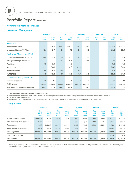#### **Key Portfolio Metrics** continued

#### **Investment Management**

|                                              | <b>AUSTRALIA</b>   |              | <b>ASIA</b>        |                |                    | <b>EUROPE</b><br><b>AMERICAS</b> |                    | <b>TOTAL</b> |                    |              |
|----------------------------------------------|--------------------|--------------|--------------------|----------------|--------------------|----------------------------------|--------------------|--------------|--------------------|--------------|
|                                              | <b>Dec</b><br>2015 | June<br>2015 | <b>Dec</b><br>2015 | June<br>2015   | <b>Dec</b><br>2015 | June<br>2015                     | <b>Dec</b><br>2015 | June<br>2015 | <b>Dec</b><br>2015 | June<br>2015 |
| Investments                                  |                    |              |                    |                |                    |                                  |                    |              |                    |              |
| Investments <sup>1</sup> (A\$m)              | 771.1              | 814.0        | 515.3              | 520.2          | 75.4               | 76.1                             |                    |              | 1,361.8            | 1,410.3      |
| Investment income <sup>2, 3</sup> $(A$m)$    | 16.1               | 21.7         | 6.5                | 7.5            | 3.0                | 1.3                              |                    |              | 25.6               | 30.5         |
| Funds Under Management (FUM) <sup>1</sup>    |                    |              |                    |                |                    |                                  |                    |              |                    |              |
| FUM at the beginning of the period           | 13.8               | 10.9         | 5.3                | 3.6            | 2.2                | 1.8                              |                    |              | 21.3               | 16.3         |
| Foreign exchange movement                    |                    |              | 0.1                | 0.6            |                    | 0.3                              |                    |              | 0.1                | 0.9          |
| Additions                                    | 0.8                | 3.0          |                    | 1.2            |                    |                                  |                    |              | 0.8                | 4.2          |
| Reductions                                   | (0.2)              | (0.8)        |                    | (0.1)          | (0.6)              |                                  |                    |              | (0.8)              | (0.9)        |
| Net revaluations                             | 0.6                | 0.7          | (0.1)              |                | 0.1                | 0.1                              |                    |              | 0.6                | 0.8          |
| FUM (A\$b)                                   | 15.0               | 13.8         | 5.3                | 5.3            | 1.7                | 2.2                              |                    |              | 22.0               | 21.3         |
| <b>Assets Under Management (AUM)</b>         |                    |              |                    |                |                    |                                  |                    |              |                    |              |
| Number of centres                            | 16                 | 16           | $\overline{4}$     | $\overline{4}$ | $\overline{2}$     | $\overline{2}$                   |                    |              | 22                 | 22           |
| AUM <sup>1</sup> (A\$m)                      | 6,235.1            | 6,112.8      | 4,252.1            | 4,288.8        | 1,041.5            | 1,009.8                          |                    |              | 11,528.7           | 11,411.4     |
| GLA under management (sqm/000s) <sup>4</sup> | 721.0              | 740.9        | 294.8              | 294.8          | 141.7              | 141.7                            |                    |              | 1,157.5            | 1,177.4      |

1 Represents the Group's assessment of the market value.

2 Represents the Group's share of income before tax, excluding revaluations (after tax for equity accounted investments), net of direct expenses.

3 December 2014 comparative.

4 Represents the gross lettable area of the centres, with the exception of Asia which represents the net lettable area of the centres.

#### Group Assets<sup>1</sup>

|                             |                      | <b>AUSTRALIA</b>     |                      | <b>ASIA</b>             |                      | <b>EUROPE</b>        |                         | <b>AMERICAS</b>         |                      | <b>TOTAL</b>         |  |
|-----------------------------|----------------------|----------------------|----------------------|-------------------------|----------------------|----------------------|-------------------------|-------------------------|----------------------|----------------------|--|
|                             | Dec.<br>2015<br>A\$m | June<br>2015<br>A\$m | Dec.<br>2015<br>A\$m | June<br>2015<br>$A$ \$m | Dec.<br>2015<br>A\$m | June<br>2015<br>A\$m | Dec.<br>2015<br>$A$ \$m | June<br>2015<br>$A$ \$m | Dec.<br>2015<br>A\$m | June<br>2015<br>A\$m |  |
| <b>Property Development</b> | 10.648.9             | 10.974.7             | 56.9                 | 24.8                    | 1.089.1              | 1,033.8              | 205.8                   | 198.5                   | 12,000.7             | 12,231.8             |  |
| Infrastructure Development  | 400.7                | 386.7                |                      |                         | 56.1                 | (1.4)                | 218.5                   | 178.1                   | 675.3                | 563.4                |  |
| Construction                | 1.997.8              | 2,138.0              | 250.4                | 208.4                   | 623.8                | 730.8                | 1,626.1                 | 1.354.4                 | 4,498.1              | 4,431.6              |  |
| Investment Management       | 1,057.8              | 932.7                | 562.5                | 570.3                   | 117.5                | 117.4                |                         |                         | 1,737.8              | 1,620.4              |  |
| <b>Total segment</b>        | 14,105.2             | 14,432.1             | 869.8                | 803.5                   | 1,886.5              | 1,880.6              | 2.050.4                 | 1,731.0                 | 18,911.9             | 18,847.2             |  |
| Corporate activities        |                      |                      |                      |                         |                      |                      |                         |                         | 172.0                | 112.0                |  |
| <b>Total assets</b>         | 14,105.2             | 14,432.1             | 869.8                | 803.5                   | 1,886.5              | 1,880.6              | 2,050.4                 | 1,731.0                 | 19,083.9             | 18,959.2             |  |

1 The foreign exchange rates applied to the Statement of Financial Position as at 31 December 2015 are A\$1 = £0.49 (June 2015: A\$1 = £0.49), A\$1 = US\$0.73 (June 2015: A\$1 = US\$0.77) and A\$1 = S\$1.03 (June 2015: A\$1 = S\$1.04).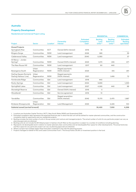

**RESIDENTIAL COMMERCIAL**

#### **Australia**

#### **Property Development**

#### Residential and Commercial Project Listing

| Project                                           | Sector                | Location <sup>1</sup> | Ownership<br>Interest                 | <b>Estimated</b><br>Completion<br>Date <sup>2</sup> | <b>Backlog</b><br>Land<br>Units $3,4$ | <b>Backlog</b><br><b>Built-Form</b><br>Units $3,4$ | <b>Estimated</b><br><b>Backlog</b><br>sqm/000s <sup>5</sup> |
|---------------------------------------------------|-----------------------|-----------------------|---------------------------------------|-----------------------------------------------------|---------------------------------------|----------------------------------------------------|-------------------------------------------------------------|
| <b>Zoned Projects</b>                             |                       |                       |                                       |                                                     |                                       |                                                    |                                                             |
| Springbank Rise                                   | Communities           | <b>ACT</b>            | Owned (50% interest)                  | 2016                                                | 10 <sup>10</sup>                      |                                                    |                                                             |
| Bingara Gorge                                     | Communities           | <b>NSW</b>            | Land management                       | 2026                                                | 585                                   |                                                    | 39                                                          |
| Calderwood Valley                                 | Communities           | <b>NSW</b>            | Land management                       | 2040                                                | 5,080                                 |                                                    | 57                                                          |
| St Marys - Jordan<br>Springs <sup>6</sup>         | Communities           | <b>NSW</b>            | Owned (100% interest)                 | 2023                                                | 1,570                                 | 245                                                | 671                                                         |
| The New Rouse Hill                                | Communities           | <b>NSW</b>            | Land management                       | 2017                                                | 90                                    | 440                                                |                                                             |
| Barangaroo South                                  | Urban<br>Regeneration | <b>NSW</b>            | Staged payments<br>(100% interest)    | 2023                                                |                                       | 615                                                | 291                                                         |
| Darling Square (formerly<br>Darling Harbour Live) | Urban<br>Regeneration | <b>NSW</b>            | Staged payments<br>(100% interest)    | 2021                                                |                                       | 1,495                                              | 72                                                          |
| Fernbrooke Ridge                                  | Communities           | Qld                   | Land management                       | 2018                                                | 440                                   |                                                    |                                                             |
| Rocky Springs                                     | Communities           | Qld                   | Land management                       | 2054                                                | 9,895                                 |                                                    | 1,093                                                       |
| Springfield Lakes                                 | Communities           | Qld                   | Land management                       | 2027                                                | 4,565                                 | 440                                                | 88                                                          |
| Stoneleigh Reserve                                | Communities           | Qld                   | Owned (100% interest)                 | 2016                                                | 5                                     |                                                    |                                                             |
| Woodlands <sup>7</sup>                            | Communities           | Qld                   | Service agreement                     | 2016                                                | 10                                    |                                                    |                                                             |
| Yarrabilba                                        | Communities           | Qld                   | Staged acquisition<br>(100% interest) | 2042                                                | 13,170                                | 2,470                                              | 1,887                                                       |
| <b>Brisbane Showgrounds</b>                       | Urban<br>Regeneration | Qld                   | Land Management                       | 2025                                                |                                       | 2,225                                              | 100                                                         |
| Subtotal zoned (carried forward)                  |                       |                       |                                       |                                                     | 35,420                                | 7,930                                              | 4,298                                                       |

1 Locations are Australian Capital Territory (ACT), New South Wales (NSW) and Queensland (Qld).

2 Estimated completion date represents the expected financial year in which the last unit will be settled for master-planned communities, and the construction completion date for apartments and non residential projects.

3 Backlog includes the total number of units in Group owned, joint venture and managed projects. The actual number of units for any particular project can vary as planning approvals are obtained.

4 Backlog units do not include the Mt Gilead project in Sydney's South West as the acquisition is subject to a number of conditions including planning.

5 Represents net developable land in relation to master-planned urban communities and net developable floor space for other developments. The actual land area and floor space for any particular project can vary as planning approvals are obtained.

6 Where a project has multiple stages these have been combined in line with the planning process.

7 Projects managed on behalf of the Lend Lease Communities Fund 1. The Group holds a 20.8% co-investment position in the fund.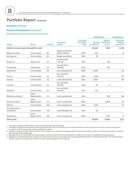#### **Australia** continued

#### **Property Development continued**

#### Residential and Commercial Project Listing continued

|                                           |                       |                       |                                       |                                                     | <b>RESIDENTIAL</b>                          |                                                             | <b>COMMERCIAL</b>                                           |
|-------------------------------------------|-----------------------|-----------------------|---------------------------------------|-----------------------------------------------------|---------------------------------------------|-------------------------------------------------------------|-------------------------------------------------------------|
| Project                                   | <b>Sector</b>         | Location <sup>1</sup> | Ownership<br>Interest                 | <b>Estimated</b><br>Completion<br>Date <sup>2</sup> | <b>Backlog</b><br>Land Units <sup>3,4</sup> | <b>Backlog</b><br><b>Built-Form</b><br>Units <sup>3,4</sup> | <b>Estimated</b><br><b>Backlog</b><br>sqm/000s <sup>5</sup> |
| Subtotal zoned projects (brought forward) |                       |                       |                                       |                                                     | 35,420                                      | 7,930                                                       | 4,298                                                       |
| <b>Blakes Crossing</b>                    | Communities           | <b>SA</b>             | Staged acquisition<br>(100% interest) | 2019                                                | 670                                         |                                                             | 12                                                          |
| Springwood                                | Communities           | <b>SA</b>             | Staged acquisition                    | 2016                                                | 30                                          |                                                             |                                                             |
| Richmond                                  | Apartments            | Vic                   | Owned (100%<br>interest)              | 2019                                                |                                             | 365                                                         |                                                             |
| <b>Toorak Park</b>                        | Apartments            | Vic                   | <b>Owned (100%</b><br>interest)       | 2018                                                |                                             | 470                                                         |                                                             |
| Atherstone                                | Communities           | Vic                   | Land management                       | 2034                                                | 4,060                                       |                                                             | 80                                                          |
| Aurora                                    | Communities           | Vic                   | Owned (100%<br>interest)              | 2026                                                | 3,120                                       |                                                             | 177                                                         |
| Harpley                                   | Communities           | Vic                   | Land management                       | 2025                                                | 3,865                                       |                                                             | 313                                                         |
| Laurimar                                  | Communities           | Vic                   | Owned (100%<br>interest)              | 2016                                                | 40                                          | 5                                                           |                                                             |
| Mayfield                                  | Communities           | Vic                   | Owned (100%<br>interest)              | 2017                                                | 210                                         |                                                             |                                                             |
| Melbourne Quarter                         | Urban<br>Regeneration | Vic                   | Land management                       | 2021                                                |                                             | 930                                                         | 120                                                         |
| Victoria Harbour                          | Urban<br>Regeneration | Vic                   | Land management                       | 2024                                                |                                             | 2,940                                                       | 35                                                          |
| Alkimos                                   | Communities           | <b>WA</b>             | Land management                       | 2022                                                | 1,495                                       |                                                             | 61                                                          |
| The Assembly at<br>Coolbellup             | Communites            | <b>WA</b>             | Land Management                       | 2016                                                | 40                                          |                                                             |                                                             |
| Waterbank                                 | Urban<br>Regeneration | <b>WA</b>             | Land management                       | 2023                                                |                                             | 1,190                                                       | 21                                                          |
| <b>Total zoned</b>                        |                       |                       |                                       |                                                     | 48,950                                      | 13,830                                                      | 5,117                                                       |
|                                           |                       |                       |                                       |                                                     |                                             |                                                             |                                                             |

1 Locations are South Australia (SA), Victoria (Vic) and Western Australia (WA).

2 Estimated completion date represents the expected financial year in which the last unit will be settled for master-planned communities, and the construction completion date for apartments and non residential projects.

3 Backlog includes the total number of units in Group owned, joint venture and managed projects. The actual number of units for any particular project can vary as planning approvals are obtained.

4 Backlog units do not include the Mt Gilead project in Sydney's South West as the acquisition is subject to a number of conditions including planning. 5 Represents net developable land in relation to master-planned urban communities and net developable floor space for other developments. The actual land area

and floor space for any particular project can vary as planning approvals are obtained.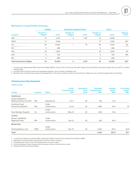

#### **OWNED MANAGED/LEASED/OTHER TOTAL** Location<sup>1</sup> Number of which is the Units<sup>2</sup> Number of Villages Units<sup>2</sup> Number of Villages Units<sup>2</sup> Backlog Units $3$ Qld 12 2,911 3 1,137 15 4,048 NSW 17 3,146 17 3,146 17 3,146 297 Vic 25 26 3,940 1 75 26 4,015 52  $\,$  SA  $\,$  386  $\,$  386  $\,$  386  $\,$  386  $\,$  386  $\,$  386  $\,$  386  $\,$  386  $\,$  386  $\,$  386  $\,$  386  $\,$  386  $\,$  386  $\,$  386  $\,$  386  $\,$  386  $\,$  386  $\,$  386  $\,$  386  $\,$  386  $\,$  386  $\,$  386  $\,$  386  $\,$  3 WA 10 1,604 1,604 1,604 1,604 1,604 1,604 1,604 1,604 1,604 1,604 1,604 1,604 1,60 ACT 2 100 2 100 183 NZ 5 996 5 996 5 996 5 996 5 997 6 971 12 **Total retirement villages 74 13,083 4 1,212 78 14,295 567**

#### Retirement Living Portfolio Summary

1 Locations are Queensland (Qld), New South Wales (NSW), Victoria (Vic), South Australia (SA), Western Australia (WA), Australian Capital Territory (ACT), and New Zealand (NZ).

2 Includes 100% of Group owned and managed properties. Only includes completed units.

3 Backlog units include Group owned and managed sites. The actual number of units for any particular village can vary as planning approvals are obtained.

#### **Infrastructure Development**

#### Project Listing

|                                  |                       |               | Actual<br><b>Financial Close</b> | Operational<br>Term | <b>Estimated</b><br>Capital Spend <sup>2</sup> | Invested<br>Equity <sup>3</sup> | <b>Committed</b><br>Equity <sup>4</sup> |
|----------------------------------|-----------------------|---------------|----------------------------------|---------------------|------------------------------------------------|---------------------------------|-----------------------------------------|
| Project                          | Location <sup>1</sup> | <b>Status</b> | Date                             | Years               | A\$m                                           | A\$m                            | $A$ \$m                                 |
| <b>Healthcare</b>                |                       |               |                                  |                     |                                                |                                 |                                         |
| Queen Elizabeth II               |                       |               |                                  |                     |                                                |                                 |                                         |
| <b>Medical Centre Car Park</b>   | <b>WA</b>             | Operational   | Jul 11                           | 26                  | 140                                            | 15.2                            |                                         |
| Sunshine Coast                   |                       | Under         |                                  |                     |                                                |                                 |                                         |
| University Hospital <sup>5</sup> | Qld                   | construction  | Jul 12                           | 25                  | 1,480                                          | 76.0                            | 7.9                                     |
|                                  |                       | Under         |                                  |                     |                                                |                                 |                                         |
| New Bendigo Hospital             | Vic                   | construction  | May 13                           | 25                  | 630                                            | 31.6                            |                                         |
| Justice                          |                       |               |                                  |                     |                                                |                                 |                                         |
| Eastern Goldfields               |                       | Under         |                                  |                     |                                                |                                 |                                         |
| Regional Prison                  | <b>WA</b>             | construction  | Dec 12                           | 25                  | 250                                            | 20.4                            |                                         |
| <b>Mixed-Use</b>                 |                       |               |                                  |                     |                                                |                                 |                                         |
|                                  |                       | Under         |                                  |                     |                                                |                                 |                                         |
| Darling Harbour Live             | <b>NSW</b>            | construction  | Dec 13                           | 25                  | 1,600                                          | 94.0                            | 25.8                                    |
| Total                            |                       |               |                                  |                     | 4,100                                          | 237.2                           | 33.7                                    |

1 Locations are Western Australia (WA), Queensland (Qld), Victoria (Vic) and New South Wales (NSW).

2 Represents total estimated capital spend over the contract duration.

3 Invested equity refers to the contributed equity for each project.

4 Committed equity refers to equity the Group has a future commitment to invest.

5 Excludes client provisional funding.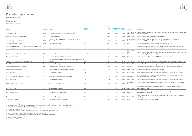#### **Australia** continued

#### **Construction**

08

#### Major Projects – Building<sup>1,2</sup>

| Project                                                                                | Location <sup>3</sup> Client |                                                                                            | Contract<br>Type <sup>4</sup> | Value <sup>6</sup><br>A\$m | <b>Secured Completion</b><br>Date <sup>6</sup><br>Date <sup>7</sup> |      | <b>Sector</b>                           | <b>Description</b>                                                                                                                                              |
|----------------------------------------------------------------------------------------|------------------------------|--------------------------------------------------------------------------------------------|-------------------------------|----------------------------|---------------------------------------------------------------------|------|-----------------------------------------|-----------------------------------------------------------------------------------------------------------------------------------------------------------------|
| Barangaroo South                                                                       | <b>NSW</b>                   | Lendlease/Barangaroo Development Authority                                                 | <b>LS</b>                     | 3.018                      | 2012                                                                | 2017 | Commercial &<br>Residential             | Design and construction of the basement, infrastructure works, commercial office and<br>residential buildings                                                   |
| Sunshine Coast University Hospital <sup>8</sup>                                        | Qld                          | Queensland Health                                                                          | LS                            | 1,564                      | 2013                                                                | 2017 | Healthcare                              | Design and construction of a new 738 bed hospital                                                                                                               |
| ICC Sydney (Formerly Darling Harbour Live)                                             | <b>NSW</b>                   | Darling Harbour Live Partnership/Infrastructure NSW/<br>Sydney Harbour Foreshore Authority | LS                            | 1,135                      | 2014                                                                | 2017 | Recreation                              | Entertainment/ Design and construction PPP contract for the redevelopment of the Sydney<br>Convention, Exhibition and Entertainment Precinct                    |
| Crown Sydney Hotel Resort                                                              | <b>NSW</b>                   | Crown Resorts Limited                                                                      | MC                            | 1,000                      | <b>TBA</b> <sup>9</sup><br>2015                                     |      | Hotel                                   | Delivery of the Crown Sydney Hotel Resort at Barangaroo South                                                                                                   |
| Facilities Requirements for the New Air Combat Capability -<br><b>RAAF Williamtown</b> | <b>NSW</b>                   | Commonwealth Department of Defence                                                         | <b>MC</b>                     | 95010                      | 2015                                                                | 2019 | Defence                                 | Managing contractor for the design and delivery of the facilities required to support<br>the Joint Strike Fighter aircrafts at RAAF Williamtown New South Wales |
| Darling Square and ICC Sydney Hotel                                                    | <b>NSW</b>                   | Lendlease Haymarket                                                                        | LS/MC                         | 801                        | 2015                                                                | 2019 | Residential/<br>Hotel<br>Infrastructure | Design and construction of 539 apartments, a hotel, infrastructure and public realm as<br>part of the Darling Harbour redevelopment                             |
| New Bendigo Hospital                                                                   | Vic                          | Victorian Government/Bendigo Health                                                        | LS                            | 630                        | 2013                                                                | 2017 | Healthcare                              | Design and construction of a new 372 bed hospital in Bendigo                                                                                                    |
| Adelaide Convention Centre Redevelopment                                               | <b>SA</b>                    | Department of Planning, Transport and Infrastructure, South<br>Australia                   | MC                            | 304                        | 2011                                                                | 2018 | Commercial                              | Construct only for the redevelopment and extension of the existing convention centre                                                                            |
| Toorak Park, Armadale                                                                  | Vic                          | Lendlease Development                                                                      | <b>CM</b>                     | 208                        | 2015                                                                | 2017 | Residential                             | Construction of a 448 residential apartment development at Armadale                                                                                             |
| Campbell Barracks Redevelopment                                                        | <b>WA</b>                    | Commonwealth Department of Defence                                                         | LS                            | 198                        | 2016                                                                | 2019 | Defence                                 | Construction of facilities and infrastructure for the Special Air Service Regiment                                                                              |
| Monash Children's Hospital                                                             | Vic                          | Department of Health and Human Services                                                    | MC                            | 182                        | 2014                                                                | 2017 | Healthcare                              | Managing contractor of a new 230 bed hospital                                                                                                                   |
| 888 Collins Street                                                                     | Vic                          | Lendlease Development                                                                      | <b>CM</b>                     | 179                        | 2015                                                                | 2017 | Residential                             | Construction of a 578 residential apartment development with ground level retail                                                                                |
| RMIT New Academic Street Main Works                                                    | Vic                          | Royal Melbourne Institute of Technology                                                    | LS                            | 172                        | 2016                                                                | 2018 | Education                               | Refurbishment and construction of four buildings on the city campus of the Royal<br>Melbourne Institute of Technology                                           |
| 889 Collins Street                                                                     | Vic                          | Lendlease Development                                                                      | <b>CM</b>                     | 171                        | 2015                                                                | 2017 | Residential                             | Construction of a 537 residential apartment development with ground level retail                                                                                |
| Adelaide Medical & Nursing School                                                      | <b>SA</b>                    | The University of Adelaide                                                                 | <b>MC</b>                     | 170                        | 2014                                                                | 2017 | Education/<br>Healthcare                | Design and construction of a new University health science facility for teaching and<br>research                                                                |
| 883 Collins Street                                                                     | Vic                          | Lendlease Development                                                                      | <b>CM</b>                     | 169                        | 2016                                                                | 2018 | Residential                             | Construction of a residential development at 883 Collins Street with ground level<br>retail and commercial                                                      |
| <b>HATS Delivery Phase</b>                                                             | <b>ACT</b>                   | Commonwealth Government                                                                    | MC                            | 138                        | 2015                                                                | 2017 | Defence                                 | Construction of squadron, training, maintenance and storage facilities for new<br>maritime combat helicopters                                                   |
| The Yards                                                                              | Qld                          | Lendlease Development                                                                      | <b>CM</b>                     | 120                        | 2015                                                                | 2017 | Residential                             | Construction of 401 Apartments in two towers with ground floor retail and basement<br>carparking                                                                |
| Palmerston Hospital                                                                    | <b>NT</b>                    | Department of Infrastructure NT                                                            | <b>MC</b>                     | 106                        | 2016                                                                | 2018 | Health                                  | Construction of new 116 bed hospital                                                                                                                            |
|                                                                                        |                              |                                                                                            |                               |                            |                                                                     |      |                                         |                                                                                                                                                                 |

Construction of the construction

1 Disclosure of major projects is subject to client approval. This could impact the projects available for disclosure.<br>2 Backlog revenue as at 31 December 2015 for the proiects listed totals A\$5.645.3 million, repres

revenue for the region in relation to Building projects. 3 Locations are New South Wales (NSW), Queensland (Qld), Victoria (Vic,) South Australia (SA), and Western Australia (WA) Australian Capital Territory (ACT)

and Northern Territory (NT).

4 Contract types are Lump Sum (LS), Managing Contractor (MC) and Construction Management (CM). 5 Construction value represents the Group's share of the total construction value of the project.

6 Secured date represents the financial year in which the project was secured. 7 Completion date represents the financial year in which the project is expected to be completed.

8 Includes client provisional funding.

9 Subject to planning approval.

10 Contract value relates to client budget.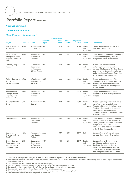#### **Australia** continued

#### **Construction** continued

#### Major Projects – Engineering<sup>1,2</sup>

| Project                                                                | Location <sup>3</sup> | <b>Client</b>                                            | Contract<br>Type <sup>4</sup> | Construction<br>Value <sup>5</sup><br>$A$ \$m | Date <sup>6</sup> | <b>Secured Completion</b><br>Date <sup>7</sup> | <b>Sector</b>            | <b>Description</b>                                                                                                                                                                                                                        |
|------------------------------------------------------------------------|-----------------------|----------------------------------------------------------|-------------------------------|-----------------------------------------------|-------------------|------------------------------------------------|--------------------------|-------------------------------------------------------------------------------------------------------------------------------------------------------------------------------------------------------------------------------------------|
| North Connex M1 / NSW<br>M <sub>2</sub> Tunnel <sup>8</sup>            |                       | NorthConnex D&C<br>Co. Pty. Ltd                          |                               | 1,279                                         | 2015              | 2019                                           | Roads<br>and<br>Highways | Design and construct of the 9km<br>twin motorway tunnels                                                                                                                                                                                  |
| Tintenbar to<br>Ewingsdale, Pacific<br>Highway, Northern<br><b>NSW</b> | <b>NSW</b>            | <b>NSW Roads</b><br>and Maritime<br>Services             | D&C                           | 645                                           | 2012              | 2016                                           | Roads<br>and<br>Highways | Construction of a new 16.3 kilometre<br>section of the highway, several<br>bridges and a 400 metre tunnel                                                                                                                                 |
| Gateway Upgrade Qld<br>North                                           |                       | Queensland<br>Department<br>of Transport<br>& Main Roads | D&C                           | 621                                           | 2016              | 2018                                           | Roads<br>and<br>Highways | Widening 11.3 kilometres of<br>motorway from four to six lanes<br>between Nudgee and Bracken Ridge,<br>upgrading the Nudgee Interchange<br>and widening the Deagon Deviation<br>to two lanes in each direction                            |
| Oxley Highway to NSW<br>Kundabung,<br>Pacific Highway                  |                       | <b>NSW Roads</b><br>and Maritime<br>Services             | D&C                           | 599                                           | 2014              | 2018                                           | Roads<br>and<br>Highways | Design and construction of 23<br>kilometres of upgrade works to the<br>highway, including major bridge<br>crossings across the Hastings and<br><b>Wilson Rivers</b>                                                                       |
| Nambucca to<br>Urunga, Pacific<br>Highway, Mid-<br><b>North Coast</b>  | <b>NSW</b>            | <b>NSW Roads</b><br>and Maritime<br>Services             | D&C                           | 552                                           | 2013              | 2017                                           | Roads<br>and<br>Highways | Design and construction of 22<br>kilometres of dual carriageway and<br>bridges                                                                                                                                                            |
| Kingsford Smith<br><b>Drive</b>                                        | Qld                   | <b>Brisbane City D&amp;C</b><br>Council                  |                               | 441                                           | 2016              | 2019                                           | Roads<br>and<br>Highways | Widening of Kingsford Smith Drive<br>from four to six lanes between<br>Theodore Street at Eagle Farm and<br>Cooksley Street at Hamilton, and<br>improvement works between<br><b>Cooksley Street and Breakfast Creek</b><br>Road at Albion |
| <b>CBD</b> Alliance                                                    | <b>NSW</b>            | <b>NSW Roads</b><br>& Maritime<br>Services               | <b>ALL</b>                    | 160                                           | 2014              | 2016                                           | Roads<br>and<br>Highways | Construction of cycleways and bus<br>relocation works in the Sydney City<br>Centre, construction of a pedestrian<br>bridge over Anzac Parade, and<br>installation and modification of lifts<br>in the Sydney Harbour Bridge               |
| Epping to<br><b>Thornleigh Third</b><br>Track <sup>8</sup>             | <b>NSW</b>            | Transport for ALL<br>New South<br>Wales                  |                               | 147                                           | 2013              | 2017                                           | Rail                     | Construction of a third rail track<br>between Epping and Thornleigh                                                                                                                                                                       |
| Bruce Highway<br>Cooroy Southern<br>Interchange to<br>Cudgerie Drive   | Qld                   | Queensland<br>Department<br>of Transport<br>& Main Roads | SOR                           | 110                                           | 2014              | 2017                                           | Roads<br>and<br>Highways | Construction of 6.5km of new<br>northbound highway lanes to<br>duplicate the existing Cooroy<br>bypass, including upgrade of the<br>Cooroy Southern Interchange and<br>new bridges over Six Miles Creek                                   |

1 Disclosure of major projects is subject to client approval. This could impact the projects available for disclosure.

2 Backlog revenue as at 31 December 2015 for the projects listed totals A\$2,788 million, representing 95% of the total backlog revenue for the region in relation to Engineering projects.

3 Locations are New South Wales (NSW) and Queensland (Qld).

4 Contract types are Design and Construct (D&C), Alliance (ALL) and Schedule of Rates (SOR).

5 Construction value represents the Group's share of the total construction value of the project.

6 Secured date represents the financial year in which the project was secured.

7 Completion date represents the financial year in which the project is expected to be completed.

8 Represents the Group's interest in the project joint venture.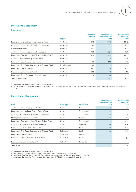#### **Investment Management**

#### Investments

|                                                               | Region      | Lendlease<br>Interest<br>% | Market Value <sup>1</sup><br>December 2015<br>$A$ \$m | Market Value <sup>1</sup><br><b>June 2015</b><br>$A$ \$m |
|---------------------------------------------------------------|-------------|----------------------------|-------------------------------------------------------|----------------------------------------------------------|
|                                                               |             |                            |                                                       |                                                          |
| Lend Lease International Towers Sydney Trust                  | Australia   | 15.0                       | 263.3                                                 | 181.5                                                    |
| Australian Prime Property Fund - Commercial                   | Australia   | 9.5                        | 192.0                                                 | 178.9                                                    |
| Craigieburn Central                                           | Australia   | 25.0                       | 83.0                                                  | 81.2                                                     |
| Australian Prime Property Fund - Industrial                   | Australia   | 11.0                       | 78.1                                                  | 76.1                                                     |
| Lend Lease One International Towers Sydney Trust <sup>2</sup> | Australia   | 12.5                       | 62.8                                                  | 191.3                                                    |
| Australian Prime Property Fund - Retail                       | Australia   | 1.1                        | 44.3                                                  | 43.5                                                     |
| Lend Lease Sub Regional Retail Fund                           | Australia   | 10.0                       | 37.6                                                  | 36.7                                                     |
| Lend Lease Real Estate Partners New Zealand Fund              | New Zealand | 5.3                        | 7.6                                                   | 7.0                                                      |
| Lend Lease Core Plus Fund                                     | Australia   | 13.3                       | 1.6                                                   | 11.4                                                     |
| Lend Lease Communities Fund <sup>1</sup>                      | Australia   | 20.8                       | 0.6                                                   | 4.1                                                      |
| Lend Lease Retail Partners - Australia Fund                   | Australia   | 2.6                        | 0.2                                                   | 2.3                                                      |
| <b>Total Investments</b>                                      |             |                            | 771.1                                                 | 814.0                                                    |

1 Represents the Group's assessment of the market value.

2 During the period the Group divested a 25% interest Lend Lease One International Towers Sydney Trust reducing the investment held from 37.5% to 12.5% of the trust.

#### **Funds Under Management**

|                                                          |                  |                    | Market Value <sup>1</sup><br>December 2015 | Market Value <sup>1</sup><br><b>June 2015</b> |
|----------------------------------------------------------|------------------|--------------------|--------------------------------------------|-----------------------------------------------|
| <b>Fund</b>                                              | <b>Fund Type</b> | <b>Asset Class</b> | A\$b                                       | $A$ \$b                                       |
| Australian Prime Property Fund - Retail                  | Core             | Retail             | 4.9                                        | 4.6                                           |
| Lend Lease International Towers Sydney Trust             | Core             | Commercial         | 2.8                                        | 2.3                                           |
| Australian Prime Property Fund - Commercial              | Core             | Commercial         | 2.6                                        | 2.5                                           |
| <b>Managed Investment Mandates</b>                       | Core             | Various            | 2.0                                        | 1.7                                           |
| Lend Lease One International Towers Sydney Trust         | Core             | Commercial         | 1.1                                        | 0.9                                           |
| Australian Prime Property Fund - Industrial              | Core             | Industrial         | 0.8                                        | 0.8                                           |
| Lend Lease Sub Regional Retail Fund                      | Core             | Retail             | 0.6                                        | 0.6                                           |
| Lend Lease Real Estate Partners New Zealand Fund         | Enhanced         | Retail             | 0.2                                        | 0.2                                           |
| Lend Lease Core Plus Fund <sup>2</sup>                   | Core Plus        | Various            |                                            | 0.1                                           |
| Lend Lease Retail Partners - Australia Fund <sup>3</sup> | Core Plus        | Retail             |                                            | 0.1                                           |
| Lend Lease Communities Fund 14                           | Value Add        | Residential        |                                            |                                               |
| <b>Total FUM</b>                                         |                  |                    | 15.0                                       | 13.8                                          |

1 Represents the Group's assessment of the market value.

2 Lend Lease Core Plus Fund funds under management is A\$16.5m which rounds down to 0.

3 Lend Lease Retail Partners – Australia Fund funds under management is A\$14.2m which rounds down to 0.

4 Lend Lease Communities Fund 1 funds under management is A\$40.7m which rounds down to 0.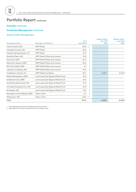#### **Australia** continued

#### **Investment Management** continued

#### Assets Under Management

|                                |                                     | <b>GLA</b>            | Market Value <sup>2</sup><br>Dec 2015 | Market Value <sup>2</sup><br><b>June 2015</b> |
|--------------------------------|-------------------------------------|-----------------------|---------------------------------------|-----------------------------------------------|
| <b>Shopping centres</b>        | Managed on behalf of                | sgm/000s <sup>1</sup> | $A$ \$m                               | $A$ \$m                                       |
| Cairns Central, Qld            | <b>APPF Retail</b>                  | $52.8 -$              |                                       |                                               |
| Caneland Central, Qld          | <b>APPF Retail</b>                  | 65.6                  |                                       |                                               |
| Caroline Springs Square, Vic   | <b>APPF Retail</b>                  | 21.0                  |                                       |                                               |
| Sunshine Plaza, Qld            | APPF Retail/Other joint owners      | 75.9                  |                                       |                                               |
| Erina Fair, NSW                | APPF Retail/Other joint owners      | 114.2                 |                                       |                                               |
| Macarthur Square, NSW          | APPF Retail/Other joint owners      | 94.6                  |                                       |                                               |
| Mid City (retail), NSW         | APPF Retail/Other joint owners      | 9.1                   |                                       |                                               |
| Lakeside Joondalup, WA         | APPF Retail/Other joint owners      | 97.4                  |                                       |                                               |
| Craigieburn Central, Vic       | <b>APPF Retail/Lendlease</b>        | 62.7                  | 6,235.1                               | 6,112.8                                       |
| Menai Marketplace, NSW         | Lend Lease Sub Regional Retail Fund | 16.5                  |                                       |                                               |
| Settlement City, NSW           | Lend Lease Sub Regional Retail Fund | 19.4                  |                                       |                                               |
| Southlands Boulevarde, WA      | Lend Lease Sub Regional Retail Fund | 21.4                  |                                       |                                               |
| Armadale Shopping City, WA     | Lend Lease Sub Regional Retail Fund | 31.0                  |                                       |                                               |
| Northgate, WA                  | Lend Lease Sub Regional Retail Fund | 15.9                  |                                       |                                               |
| Barangaroo South (Retail), NSW | Other owner                         | 2.7                   |                                       |                                               |
| Watertown, WA                  | Other owner                         | 20.8                  |                                       |                                               |
| Total                          |                                     | 721.0                 | 6,235.1                               | 6,112.8                                       |

1 GLA represents the gross lettable area of the centres.

2 Represents the Group's assessment of the market value.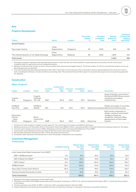#### **Asia**

#### **Property Development**

| Commercial<br><b>Backlog</b> |
|------------------------------|
|                              |
| sqm/000 $s^3$                |
|                              |
|                              |
| 136                          |
|                              |
| 233                          |
| 369                          |
|                              |

1 Estimated completion represents the expected financial year in which the last unit will be settled for master-planned communities, and the construction

 completion date for apartments and non residential projects. 2 Backlog includes the total number of units in Group owned, joint venture and managed projects. The actual number of units for any particular project can vary as

 planning approvals are obtained. 3 Commercial space has been disclosed based on GFA. GFA in Asia refers to the total area of the covered floor space measured between the centre line of party walls, including the thickness of external walls but excluding voids. The actual land area and floor space for any particular project can vary as planning approvals are obtained.

#### **Construction**

#### Major Projects<sup>1,2</sup>

| Project                                     | Location  | <b>Client</b>                    | Contract<br>Type <sup>3</sup> | Construction<br>Value <sup>4</sup><br>$A$ \$m | <b>Secured</b><br>Date <sup>5</sup> | Completion<br>Date <sup>6</sup> | Sector    | <b>Description</b>                                                                                                                                        |
|---------------------------------------------|-----------|----------------------------------|-------------------------------|-----------------------------------------------|-------------------------------------|---------------------------------|-----------|-----------------------------------------------------------------------------------------------------------------------------------------------------------|
| Cognita<br>Asia                             | Singapore | Cognita<br>Holdings<br>Pte. Ltd. | D&C                           | 152.6                                         | 2015                                | 2017                            | Education | Green Field Site, new build of<br>35,000m2 (GFA) Storey school<br>including surrounding<br>infrastructure                                                 |
| SoftBank<br><b>Fast Pole</b>                | Japan     | SoftBank<br>Mobile               | <b>MC</b>                     | 157.1                                         | 2011                                | 2017                            |           | Design and supply of concrete<br>Telecommunications telecommunications poles                                                                              |
| Paya Lebar<br>Central<br>$-$ Early<br>Works | Singapore | Roma<br>Central Pte.<br>Ltd.     | <b>GMP</b>                    | 102.3                                         | 2015                                | 2016                            | Mixed Use | Early works component to<br>design, construct and project<br>manage a mixed use<br>residential, retail and office<br>development at Paya Lebar<br>Central |

1 Disclosure of major projects is subject to client approval. This could impact the projects available for disclosure.

2 Backlog revenue as at 31 December 2015 for the projects listed totals A\$228.5 million, representing 68% of the total Construction backlog revenue for the region.

3 Contract type is Design and Construct (D&C), Managing Contractor (MC) and Guaranteed Maximum Price (GMP).

4 Construction value represents the Group's share of the total construction value of the project.

5 Secured date represents the financial year in which the project was secured.+

6 Completion date represents the financial year in which the project is expected to be completed.

### **Investment Management**

Investments

|                                                | Lendlease Interest<br>% | Market Value <sup>1</sup><br>Dec 2015<br>S\$m | Market Value <sup>1</sup><br><b>June 2015</b><br>S\$m | Market Value <sup>1</sup><br>Dec 2015<br>$A$ \$m | Market Value <sup>1</sup><br><b>June 2015</b><br>$A$ \$m |
|------------------------------------------------|-------------------------|-----------------------------------------------|-------------------------------------------------------|--------------------------------------------------|----------------------------------------------------------|
| Lend Lease Asian Retail Investment Fund (ARIF) |                         |                                               |                                                       |                                                  |                                                          |
| ARIF 1 $(313@somerset)^2$                      | 10.1                    | 31.4                                          | 35.0                                                  | 30.6                                             | 33.7                                                     |
| ARIF 2 (Setia City Mall) <sup>3, 4</sup>       | 35.9                    | 23.0                                          | 29.8                                                  | 22.4                                             | 28.7                                                     |
| ARIF 3 (Jem) <sup>4</sup>                      | 20.1                    | 159.2                                         | 160.9                                                 | 154.6                                            | 154.7                                                    |
| 313@somerset <sup>2</sup>                      | 25.0                    | 103.5                                         | 114.6                                                 | 100.5                                            | 110.2                                                    |
| Paya Lebar Central Joint Venture               | 30.0                    | 177.8                                         | 165.1                                                 | 172.6                                            | 158.7                                                    |
| Parkway Parade Partnership Limited             | 4.9                     | 35.6                                          | 35.6                                                  | 34.6                                             | 34.2                                                     |
| <b>Total Investments</b>                       |                         | 530.5                                         | 541.0                                                 | 515.3                                            | 520.2                                                    |

1 Represents the Group's assessment of the market value.

2 The Group owns 25% of the 313@somerset retail centre through its investment in CDR JV Ltd, with the remaining 75% held by ARIF 1, in which the Group holds a 10.1% interest.

3 The Group directly owns 35.9% of ARIF 2, which has a 50% ownership interest in Setia City Mall.

4 Capital redemptions during the period exceeded the share of profit/loss resulting in a decrease in the equity accounted investment.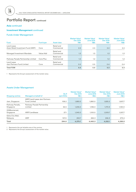#### **Asia** continued

#### **Investment Management** continued

#### Funds Under Management

| <b>Fund</b>                                       | <b>Fund type</b> | <b>Asset class</b>       | Market Value <sup>1</sup><br>Dec 2015<br>S\$ <sub>b</sub> | Market Value <sup>1</sup><br><b>June 2015</b><br>S\$ <sub>b</sub> | Market Value <sup>1</sup><br>Dec 2015<br>A\$b | Market Value <sup>1</sup><br><b>June 2015</b><br>A\$b |
|---------------------------------------------------|------------------|--------------------------|-----------------------------------------------------------|-------------------------------------------------------------------|-----------------------------------------------|-------------------------------------------------------|
| Lend Lease<br>Asian Retail Investment Fund (ARIF) | Core             | Retail and<br>Commercial | 2.5                                                       | 2.5                                                               | 2.4                                           | 2.4                                                   |
| Managed Investment Mandate                        | Value Add        | Retail and<br>Commercial | 1.3                                                       | 1.3                                                               | 1.3                                           | 1.3                                                   |
| Parkway Parade Partnership Limited                | Core Plus        | Retail and<br>Commercial | 1.2                                                       | 1.2                                                               | 1.2                                           | 1.2                                                   |
| Lend Lease<br>Jem Partners Fund Limited           | Core             | Retail and<br>Commercial | 0.5                                                       | 0.5                                                               | 0.4                                           | 0.4                                                   |
| <b>Total FUM</b>                                  |                  |                          | 5.5                                                       | 5.5                                                               | 5.3                                           | 5.3                                                   |

1 Represents the Group's assessment of the market value.

#### Assets Under Management

| <b>Shopping centres</b>      | Managed on behalf of                                       | GLA <sup>1</sup><br>sqm/000s | Market Value <sup>2</sup><br>Dec 2015<br>$S\$ m | Market Value <sup>2</sup><br>June 2015<br>S\$m | Market Value <sup>2</sup><br>Dec 2015<br>A\$m | Market Value <sup>2</sup><br><b>June 2015</b><br>$A$ \$m |
|------------------------------|------------------------------------------------------------|------------------------------|-------------------------------------------------|------------------------------------------------|-----------------------------------------------|----------------------------------------------------------|
| Jem, Singapore               | <b>ARIF/Lend Lease Jem Partners</b><br><b>Fund Limited</b> | 108.2                        | 1,880.0                                         | 1,880.0                                        | 1,825.2                                       | 1,807.7                                                  |
| Parkway Parade,<br>Singapore | Parkway Parade Partnership<br>Limited                      | 52.5                         | 1.206.0                                         | 1,196.0                                        | 1,170.9                                       | 1,150.0                                                  |
| 313@somerset,<br>Singapore   | ARIF/Lendlease                                             | 27.1                         | 1.040.0                                         | 1.100.0                                        | 1.009.7                                       | 1.057.7                                                  |
| Setia City Mall,<br>Malaysia | ARIF                                                       | 107.0                        | 253.7                                           | 284.3                                          | 246.3                                         | 273.4                                                    |
| Total                        |                                                            | 294.8                        | 4,379.7                                         | 4,460.3                                        | 4,252.1                                       | 4,288.8                                                  |

1 Represents the net lettable area of the centres.

2 Represents the Group's assessment of the market value.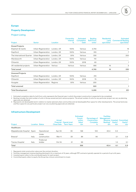#### **Europe**

#### **Property Development**

#### Project Listing

| Project                   | <b>Sector</b>              | Location   | Ownership<br>Interest<br>% | <b>Estimated</b><br>Completion<br>Date <sup>1</sup> | <b>Backlog</b><br><b>Built-Form</b><br>Units <sup>2</sup> | <b>Residential</b><br>Land<br>sqm/000 $s^3$ | <b>Estimated</b><br><b>Commercial Backlog</b><br>sqm/000 $s^3$ |
|---------------------------|----------------------------|------------|----------------------------|-----------------------------------------------------|-----------------------------------------------------------|---------------------------------------------|----------------------------------------------------------------|
| <b>Zoned Projects</b>     |                            |            |                            |                                                     |                                                           |                                             |                                                                |
| Elephant & Castle         | Urban Regeneration         | London, UK | 100%                       | Various                                             | 2,755                                                     |                                             | 19                                                             |
| Deptford                  | Urban Regeneration         | London, UK | 100%                       | Various                                             | 915                                                       |                                             | $\overline{7}$                                                 |
| The International Quarter | <b>Urban Regeneration</b>  | London, UK | 50%                        | Various                                             | 335                                                       |                                             | 200                                                            |
| Wandsworth                | Urban Regeneration         | London, UK | 100%                       | Various                                             | 110                                                       |                                             |                                                                |
| Chiswick                  | Urban Regeneration         | London, UK | 100%                       | 2018                                                | 65                                                        |                                             |                                                                |
| UK residential projects   | Urban Regeneration Various |            | Various                    | Various                                             | 585                                                       | 16                                          | 3                                                              |
| <b>Total zoned</b>        |                            |            |                            |                                                     | 4,765                                                     | 16                                          | 230                                                            |
| <b>Unzoned Projects</b>   |                            |            |                            |                                                     |                                                           |                                             |                                                                |
| Deptford                  | Urban Regeneration         | London, UK | 100%                       | Various                                             | 215                                                       |                                             |                                                                |
| Chiswick                  | Urban Regeneration         | London, UK | 100%                       | 2018                                                | 75                                                        |                                             |                                                                |
| Hungate                   | Urban Regeneration         | Regions    | 50%                        | Various                                             | 230                                                       |                                             |                                                                |
| <b>Total unzoned</b>      |                            |            |                            |                                                     | 520                                                       |                                             |                                                                |
| <b>Total Development</b>  |                            |            |                            |                                                     | 5,285                                                     | 16                                          | 231                                                            |

1 Estimated completion date for built-form units represents the financial year in which the project construction is expected to be completed.

2 Backlog includes the total number of units in Group owned and joint venture projects. The actual number of units for any particular project can vary as planning approvals are obtained.

3 Represents net developable land in relation to master-planned urban communities and net developable floor space for other developments. The actual land area and floor space for any particular project can vary as planning approvals are obtained.

#### **Infrastructure Development**

|                            |                        |                       | Actual            | <b>Financial Operat-ional</b> | <b>Estimated</b><br>Constr-<br>uction<br>Value <sup>1</sup> | Percentage of<br>Construction<br>Complete | <b>Facilities</b><br>Management<br>Backlog <sup>2</sup> | Equity <sup>3</sup> | Revenue Invested Committed<br>Equity <sup>4</sup> |
|----------------------------|------------------------|-----------------------|-------------------|-------------------------------|-------------------------------------------------------------|-------------------------------------------|---------------------------------------------------------|---------------------|---------------------------------------------------|
| Project                    | <b>Location Status</b> |                       | <b>Close Date</b> | <b>Term Years</b>             | £m                                                          | %                                         | £m                                                      | £m                  | £m                                                |
| Healthcare                 |                        |                       |                   |                               |                                                             |                                           |                                                         |                     |                                                   |
| Majadahonda Hospital Spain |                        | Operational           | Apr 05            | 30                            | 168                                                         | 100                                       | 43.4                                                    | 3.0                 |                                                   |
| Brescia <sup>2</sup>       | Italy                  | Under<br>construction | Mar 11            | 33                            | 89                                                          | 90                                        |                                                         | 2.1                 | 0.8                                               |
| <b>Treviso Hospital</b>    | Italy                  | Preferred<br>bidder   | Oct 16            | 21                            | 99                                                          |                                           |                                                         | 1.0                 | 5.1                                               |
| Total                      |                        |                       |                   |                               | 356                                                         |                                           | 43.4                                                    | 6.1                 | 5.9                                               |

1 Represents total construction value over the contract duration.

2 Facilities management revenue backlog disclosed is for a maximum of 10 years, although PPP contracts typically operate for a period of up to 40 years.

3 Invested equity refers to the contributed equity for each project.

4 Committed equity refers to equity the Group has a future commitment to invest. .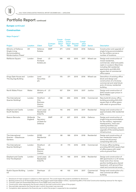#### **Europe** continued

#### **Construction**

#### Major Projects<sup>1,2</sup>

|                                                                                           |                     |                                                             | Contract          | Constr-<br>uction<br>Value <sup>4</sup> | Constr-<br>uction | Value <sup>4</sup> Secured | Compl-<br>etion   |                       |                                                                                                                                                                                                                                    |
|-------------------------------------------------------------------------------------------|---------------------|-------------------------------------------------------------|-------------------|-----------------------------------------|-------------------|----------------------------|-------------------|-----------------------|------------------------------------------------------------------------------------------------------------------------------------------------------------------------------------------------------------------------------------|
| Project                                                                                   | Location            | <b>Client</b>                                               | Type <sup>3</sup> | £m                                      | A\$m              | Date <sup>5</sup>          | Date <sup>6</sup> | <b>Sector</b>         | <b>Description</b>                                                                                                                                                                                                                 |
| Ministry of Defence<br>Single Living<br>Accommodation<br>Modernisation Phase <sup>2</sup> | UK                  | Defence<br><b>Estates</b>                                   | <b>GMP</b>        | 471                                     | 1,002             | 2003                       | 2016              | Defence               | Construction and upgrade of<br>single living accommodation<br>for the military across a<br>number of locations                                                                                                                     |
| Rathbone Square                                                                           | London              | Great<br>Portland<br>Estates plc                            | LS                | 198                                     | 422               | 2015                       | 2017              | Mixed-use             | Design and construction of<br>mixed residential,<br>commercial, retail and public<br>realm in London's West End,<br>including 162 residential<br>apartments and 265,000<br>square feet of commercial<br>office space               |
| Kings Gate House and<br>The Zig Zag Building                                              | London              | Land<br>Securities<br>plc                                   | LS                | 175                                     | 371               | 2013                       | 2016              | Mixed-use             | Demolition of existing office<br>block and design and<br>construction of a 12 storey<br>commercial and retail block<br>and a 14 storey residential<br>building                                                                     |
| North Wales Prison                                                                        | Wales               | Ministry of<br>Justice                                      | LS                | 157                                     | 334               | 2015                       | 2017              | Justice               | Design and construction of<br>2010 inmate super prison in<br>North Wales                                                                                                                                                           |
| The International<br><b>Quarter Building1</b>                                             | London              | Stratford<br>City<br><b>Business</b><br>District<br>Limited | <b>LS</b>         | 138                                     | 294               | 2016                       | 2018              | Commercial            | New build 20 storey office<br>building providing 500,000<br>square feet of office space<br>with retail on ground floor                                                                                                             |
| <b>Elephant and Castle</b><br>South Gardens                                               | London              | Lend Lease LS<br>Residential<br>(CG) Plc                    |                   | 115                                     | 245               | 2015                       | 2017              | Residential           | Design and construction of<br>approximately 342 residential<br>units                                                                                                                                                               |
| <b>Beacon Barracks</b>                                                                    | Midlands<br>England | The<br>Secretary<br>of State for<br>Defence                 | <b>GMP</b>        | 97                                      | 207               | 2013                       | 2016              | Defence               | Design and construction of<br>single living accommodation<br>for the military, regimental<br>headquarters, mess and<br>catering facilities and<br>technical workshops, and the<br>upgrade of the existing base's<br>infrastructure |
| The International<br>Quarter - Glasshouse<br>Gardens                                      | London              | <b>SCBD</b><br>Residential<br>Ltd                           | LS                | 88                                      | 188               | 2014                       | 2018              | Residential           | Design and construction of<br>two residential towers (30<br>storey and 18 storey)<br>comprising 333 units                                                                                                                          |
| The International<br>Quarter Building 2                                                   | London              | Stratford<br>City<br><b>Business</b><br>District<br>Limited | LS                | 81                                      | 173               | 2016                       | 2018              | Commercial            | 10 storey office building<br>providing 267,000 square feet<br>of office space with retail<br>units at ground floor                                                                                                                 |
| <b>Elephant and Castle</b><br>One The Elephant                                            | London              | Lend Lease<br>Residential<br>(CG) Plc                       | LS.               | 79                                      | 168               | 2013                       | 2016              | Residential           | Design and construction of<br>284 apartments in a 37 storey<br>tower and a four storey<br>pavilion building plus shared<br>basement, with ground floor<br>retail and commercial areas                                              |
| Ruskin Square Building<br>03                                                              | London              | Stanhope<br>plc                                             | LS                | 48                                      | 102               | 2015                       | 2017              | Commercial<br>Offices | Design and construction of a<br>new commercial office<br>building                                                                                                                                                                  |

1 Disclosure of major projects is subject to client approval. This could impact the projects available for disclosure.

4 Construction value represents the Group's share of the total construction value of the project.

5 Secured date represents the financial year in which the project was secured.

6 Completion date represents the financial year in which the project is expected to be completed.

<sup>2</sup> Backlog revenue as at 31 December 2015 for the projects listed totals £656.0 million, representing 88% of the total Construction backlog revenue for the region. 3 Contract types are Guaranteed Maximum Price (GMP) and Lump Sum (LS).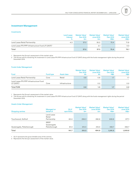#### **Investment Management**

#### Investments

|                                                               | Lend Lease<br>Interest<br>℅ | Market Value <sup>1</sup><br>Dec 2015<br>£m | Market Value <sup>1</sup><br><b>June 2015</b><br>£m | Market Value <sup>1</sup><br>Dec 2015<br>$A\$ {sm} | Market Value <sup>1</sup><br><b>June 2015</b><br>$A$ \$m |
|---------------------------------------------------------------|-----------------------------|---------------------------------------------|-----------------------------------------------------|----------------------------------------------------|----------------------------------------------------------|
| Lend Lease Retail Partnership                                 | 4.3                         | 37.0                                        | 35.2                                                | 75.4                                               | 71.8                                                     |
| Lend Lease PFI/PPP Infrastructure Fund LP (UKIF) <sup>2</sup> |                             |                                             | 2.1                                                 |                                                    | 4.3                                                      |
| Total                                                         |                             | 37.0                                        | 37.3                                                | 75.4                                               | 76.1                                                     |

1 Represents the Group's assessment of the market value.

2 The Group sold its remaining 1% investment in Lend Lease PFI/PPP Infrastructure Fund LP (UKIF) along with the funds management rights during the period December 2015.

#### Funds Under Management

| <b>Fund</b>                                                        | <b>Fund type</b> | Asset class    | Market Value <sup>1</sup><br>Dec 2015<br>£b | Market Value <sup>1</sup><br>June 2015<br>£b | Market Value <sup>1</sup><br>Dec 2015<br>$A$ \$b | Market Value <sup>1</sup><br><b>June 2015</b><br>A\$b |
|--------------------------------------------------------------------|------------------|----------------|---------------------------------------------|----------------------------------------------|--------------------------------------------------|-------------------------------------------------------|
| Lend Lease Retail Partnership                                      | Core             | Retail         | 0.8                                         | 0.8                                          | 1.7                                              | 1.7                                                   |
| Lend Lease PFI/PPP Infrastructure Fund<br>$LP$ (UKIF) <sup>2</sup> | Core             | Infrastructure |                                             | 0.2 <sub>0</sub>                             |                                                  | 0.5                                                   |
| <b>Total FUM</b>                                                   |                  |                | 0.8                                         | 1.0                                          | 1.7                                              | 2.2                                                   |

1 Represents the Group's assessment of the market value.

2 The Group sold its remaining 1% investment in Lend Lease PFI/PPP Infrastructure Fund LP (UKIF) along with the funds management rights during the period December 2015.

#### Assets Under Management

| <b>Shopping centres</b>  | Managed on<br>behalf of                    | GLA <sup>1</sup><br>sqm/000s | Market Value <sup>2</sup><br>Dec 2015<br>Em | Market Value <sup>2</sup><br>June 20145<br>£m | Market Value <sup>2</sup><br>Dec 2015<br>$A$ \$m | Market Value <sup>2</sup><br><b>June 2015</b><br>$A$ \$m |
|--------------------------|--------------------------------------------|------------------------------|---------------------------------------------|-----------------------------------------------|--------------------------------------------------|----------------------------------------------------------|
| Touchwood, Solihull      | Lend Lease<br>Retail<br>Partnership        | 60.4                         | 298.3                                       | 282.8                                         | 608.8                                            | 577.1                                                    |
| Queensgate, Peterborough | <b>IREEF</b><br>Queensgate<br>Peterborough | 81.3                         | 212.0                                       | 212.0                                         | 432.7                                            | 432.7                                                    |
| Total                    |                                            | 141.7                        | 510.3                                       | 494.8                                         | 1,041.5                                          | 1,009.8                                                  |

1 GLA represents the gross lettable area of the centres.

2 Represents the Group's assessment of the market value.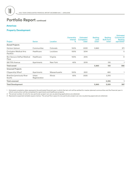#### **Americas**

#### **Property Development**

| <b>Built-Form</b><br>Completion<br>Interest<br>Land<br>Project<br>Units <sup>2</sup><br>Units <sup>2</sup><br><b>Sector</b><br>Location<br>%<br>Date <sup>1</sup><br><b>Zoned Projects</b><br>Colorado<br>Horizon Uptown<br>Communities<br>100%<br>2033<br>3,860<br>Healthcare<br><b>Covington Medical Arts</b><br>Louisiana<br>100%<br>2014<br>Pavillion<br>Virginia<br><b>Bon Secours DePaul Medical</b><br>Healthcare<br>2015<br>100%<br>Plaza<br>New York<br>281 Fifth Avenue<br>40%<br>2019<br>130<br>Apartments<br><b>Total zoned</b><br>3,860<br>130<br><b>Unzoned Projects</b><br>Clippership Wharf<br><b>Massachusetts</b><br>Apartments<br>2021<br>100%<br>480<br>Riverline (previously River<br>Urban<br>Illinois<br>2025<br>60%<br>2,915<br>South)<br>Regeneration<br><b>Total unzoned</b><br>3,395 |                          |  | Ownership | <b>Estimated</b> | <b>Backlog</b> | <b>Backlog</b> | <b>Estimated</b><br>Commercial  |
|-----------------------------------------------------------------------------------------------------------------------------------------------------------------------------------------------------------------------------------------------------------------------------------------------------------------------------------------------------------------------------------------------------------------------------------------------------------------------------------------------------------------------------------------------------------------------------------------------------------------------------------------------------------------------------------------------------------------------------------------------------------------------------------------------------------------|--------------------------|--|-----------|------------------|----------------|----------------|---------------------------------|
|                                                                                                                                                                                                                                                                                                                                                                                                                                                                                                                                                                                                                                                                                                                                                                                                                 |                          |  |           |                  |                |                | <b>Backlog</b><br>sqm/000 $s^3$ |
|                                                                                                                                                                                                                                                                                                                                                                                                                                                                                                                                                                                                                                                                                                                                                                                                                 |                          |  |           |                  |                |                |                                 |
|                                                                                                                                                                                                                                                                                                                                                                                                                                                                                                                                                                                                                                                                                                                                                                                                                 |                          |  |           |                  |                |                | 371                             |
|                                                                                                                                                                                                                                                                                                                                                                                                                                                                                                                                                                                                                                                                                                                                                                                                                 |                          |  |           |                  |                |                | 5                               |
|                                                                                                                                                                                                                                                                                                                                                                                                                                                                                                                                                                                                                                                                                                                                                                                                                 |                          |  |           |                  |                |                | 9                               |
|                                                                                                                                                                                                                                                                                                                                                                                                                                                                                                                                                                                                                                                                                                                                                                                                                 |                          |  |           |                  |                |                |                                 |
|                                                                                                                                                                                                                                                                                                                                                                                                                                                                                                                                                                                                                                                                                                                                                                                                                 |                          |  |           |                  |                |                | 386                             |
|                                                                                                                                                                                                                                                                                                                                                                                                                                                                                                                                                                                                                                                                                                                                                                                                                 |                          |  |           |                  |                |                |                                 |
|                                                                                                                                                                                                                                                                                                                                                                                                                                                                                                                                                                                                                                                                                                                                                                                                                 |                          |  |           |                  |                |                |                                 |
|                                                                                                                                                                                                                                                                                                                                                                                                                                                                                                                                                                                                                                                                                                                                                                                                                 |                          |  |           |                  |                |                |                                 |
|                                                                                                                                                                                                                                                                                                                                                                                                                                                                                                                                                                                                                                                                                                                                                                                                                 |                          |  |           |                  |                |                |                                 |
|                                                                                                                                                                                                                                                                                                                                                                                                                                                                                                                                                                                                                                                                                                                                                                                                                 | <b>Total Development</b> |  |           |                  | 3,860          | 3,525          | 387                             |

1 Estimated completion date represents the estimated financial year in which the last unit will be settled for master-planned communities and the financial year in which construction will be completed for apartments and healthcare projects.

2 The actual number of units for any particular project can vary as planning applications are obtained.

3 Represents expected rentable square metres. The actual floor space for any particular project can vary as planning approvals are obtained.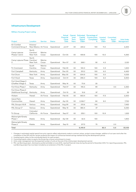#### **Infrastructure Development**

#### Military Housing Project Listing

|                                           |                                  |                 |               | Actual<br><b>Financial</b> | ional | Capital            | Operat- Estimated Percentage of<br>Construction | <b>Invested</b>     | <b>Committed</b>    |                         |
|-------------------------------------------|----------------------------------|-----------------|---------------|----------------------------|-------|--------------------|-------------------------------------------------|---------------------|---------------------|-------------------------|
|                                           |                                  |                 |               | Close                      | Term  | Spend <sup>1</sup> | Completed                                       | Equity <sup>2</sup> | Equity <sup>3</sup> | <b>Units Under</b>      |
| Project                                   | Location                         | <b>Service</b>  | <b>Status</b> | <b>Date</b>                | Years | US\$m              | %                                               | US\$m               | US\$m               | Management <sup>4</sup> |
| Air Combat<br><b>Command Group II</b>     | Arizona/<br>New Mexico Air Force |                 | Operational   | Jul 07                     | 50    | 224.2              | 100                                             | 11.0                |                     | 2,200                   |
| Camp Lejeune<br>Phases 1 and 2            | North<br>Carolina/<br>New York   | Marine<br>Corps | Operational   | Oct 05                     | 50    | 459.8              | 100                                             | 10.0                |                     | 4,350                   |
| Camp Lejeune Phase Carolina/<br>3         | North<br>New York                | Marine<br>Corps | Operational   | Nov 07                     | 50    | 268.1              | 92                                              | 4.5                 |                     | 2,120                   |
| Tri-Command                               | South<br>Carolina                | Marine<br>Corps | Operational   | Feb 03                     | 50    | 140.0              | 100                                             | 3.3                 |                     | 1,500                   |
| Fort Campbell                             | Kentucky                         | Army            | Operational   | Dec 03                     | 50    | 313.2              | 100                                             | 6.0                 |                     | 4,450                   |
| Fort Drum                                 | New York                         | Army            | Operational   | May 05                     | 50    | 504.9              | 100                                             | 5.0                 |                     | 4,025                   |
| Fort Hood                                 | Texas                            | Army            | Operational   | Oct 01                     | 50    | 296.0              | 100                                             | 6.0                 |                     | 5,900                   |
| Fort Hood Stage 3<br>(Chaffee Village 1)  | Texas                            | Army            | Operational   | May 14                     | 50    | 73.6               | 25                                              |                     |                     |                         |
| Fort Knox Phase 1                         | Kentucky                         | Army            | Operational   | Feb 07                     | 50    | 195.5              | 99                                              |                     | 3.0                 | 2,350                   |
| Fort Knox Phase 2<br>(Additional Scoring) | Kentucky                         | Army            | Operational   | Oct 10                     | 50    | 15.6               | 97                                              |                     |                     | 35                      |
| Hickam                                    | Hawaii                           | Air Force       | Operational   | Feb 05                     | 50    | 663.4              | 100                                             | 17.3                |                     | 2,500                   |
| Island Palm<br>Communities                | Hawaii                           | Army            | Operational   | Apr 05                     | 50    | 2,166.7            | 84                                              | 8.0                 |                     | 7,750                   |
| PAL Groups A & B                          | Various                          | Army            | Operational   | Aug 09                     | 50    | 213.6              | 100                                             |                     |                     | 7,450                   |
| PAL Group C <sup>5</sup>                  | Various                          | Army            | Operational   | May 13                     | 50    | 380.4              | 37                                              |                     |                     | 5,050                   |
| Tri-Group                                 | Colorado/<br>California          | Air Force       | Operational   | Sep 07                     | 50    | 235.1              | 100                                             | 10.9                |                     | 1,525                   |
| Wainwright/Greely<br>Phase 1              | Alaska                           | Army            | Operational   | Apr 09                     | 50    | 52.5               | 100                                             |                     |                     | 1,900                   |
| Wainwright/Greely<br>Phase 2              | Alaska                           | Army            | Operational   | Sep 10                     | 50    | 217.3              | 75                                              |                     | 2.0                 |                         |
| Total                                     |                                  |                 |               |                            |       | 6,419.9            |                                                 | 82.0                | 5.0                 | 53,105                  |
|                                           |                                  |                 |               |                            |       |                    |                                                 |                     |                     |                         |

1 Changes in estimated capital spend from prior reports reflect adjustments made to contract values, project scope changes, addition of out-year work after the completion of the IDP and (for certain projects) the impact of contractual shared savings realised during the development period.

2 Invested equity refers to the contributed equity for each project.

3 Committed equity refers to equity the Group has a future commitment to invest.

4 Units under management are the expected number of units at the end of the initial project development period.

5 PAL Lee Benning project, disclosed as preferred bidder at June 2015, reached financial close during the period to December 2015. For reporting purposes, PAL Lee Benning project has now been included as an extension of the PAL C project.